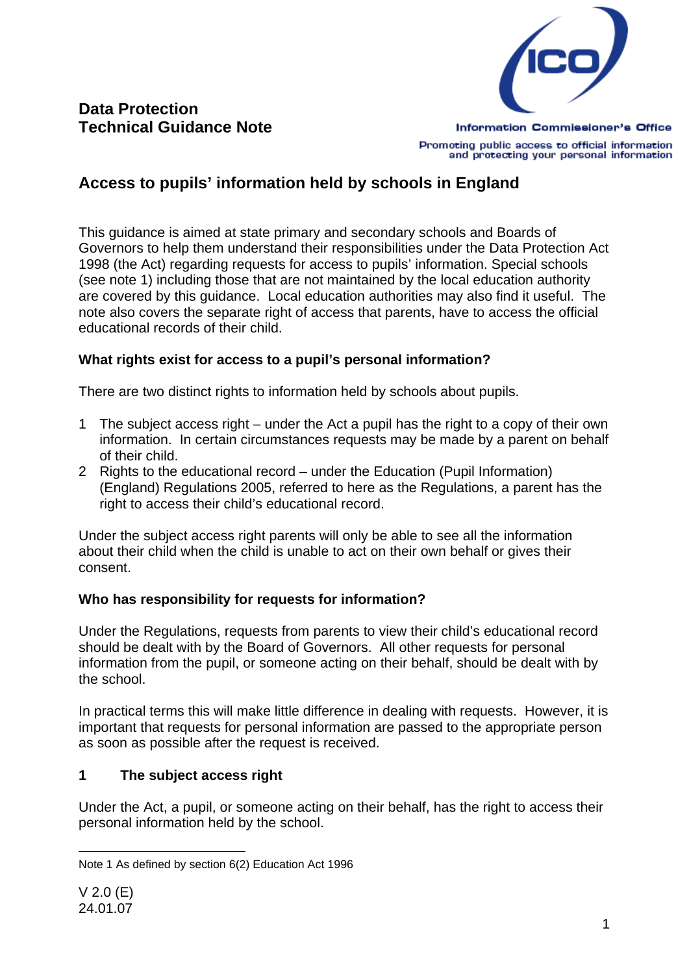

Promoting public access to official information and protecting your personal information

# **Access to pupils' information held by schools in England**

This guidance is aimed at state primary and secondary schools and Boards of Governors to help them understand their responsibilities under the Data Protection Act 1998 (the Act) regarding requests for access to pupils' information. Special schools (see note 1) including those that are not maintained by the local education authority are covered by this guidance. Local education authorities may also find it useful. The note also covers the separate right of access that parents, have to access the official educational records of their child.

### **What rights exist for access to a pupil's personal information?**

There are two distinct rights to information held by schools about pupils.

- 1 The subject access right under the Act a pupil has the right to a copy of their own information. In certain circumstances requests may be made by a parent on behalf of their child.
- 2 Rights to the educational record under the Education (Pupil Information) (England) Regulations 2005, referred to here as the Regulations, a parent has the right to access their child's educational record.

Under the subject access right parents will only be able to see all the information about their child when the child is unable to act on their own behalf or gives their consent.

### **Who has responsibility for requests for information?**

Under the Regulations, requests from parents to view their child's educational record should be dealt with by the Board of Governors. All other requests for personal information from the pupil, or someone acting on their behalf, should be dealt with by the school.

In practical terms this will make little difference in dealing with requests. However, it is important that requests for personal information are passed to the appropriate person as soon as possible after the request is received.

## **1 The subject access right**

Under the Act, a pupil, or someone acting on their behalf, has the right to access their personal information held by the school.

l Note 1 As defined by section 6(2) Education Act 1996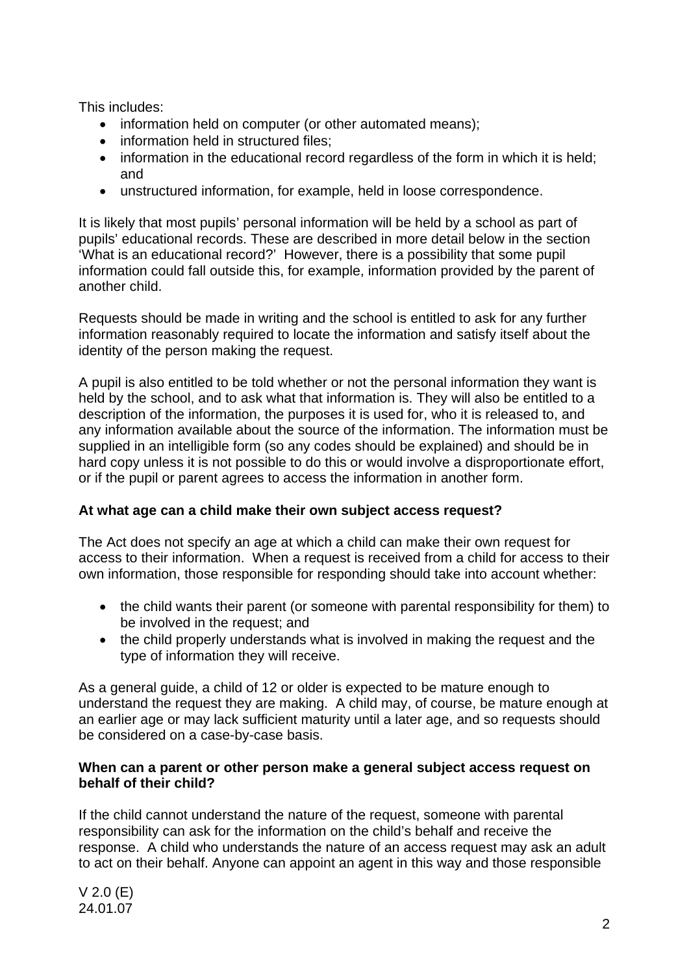This includes:

- information held on computer (or other automated means);
- information held in structured files;
- information in the educational record regardless of the form in which it is held; and
- unstructured information, for example, held in loose correspondence.

It is likely that most pupils' personal information will be held by a school as part of pupils' educational records. These are described in more detail below in the section 'What is an educational record?' However, there is a possibility that some pupil information could fall outside this, for example, information provided by the parent of another child.

Requests should be made in writing and the school is entitled to ask for any further information reasonably required to locate the information and satisfy itself about the identity of the person making the request.

A pupil is also entitled to be told whether or not the personal information they want is held by the school, and to ask what that information is. They will also be entitled to a description of the information, the purposes it is used for, who it is released to, and any information available about the source of the information. The information must be supplied in an intelligible form (so any codes should be explained) and should be in hard copy unless it is not possible to do this or would involve a disproportionate effort, or if the pupil or parent agrees to access the information in another form.

### **At what age can a child make their own subject access request?**

The Act does not specify an age at which a child can make their own request for access to their information. When a request is received from a child for access to their own information, those responsible for responding should take into account whether:

- the child wants their parent (or someone with parental responsibility for them) to be involved in the request; and
- the child properly understands what is involved in making the request and the type of information they will receive.

As a general guide, a child of 12 or older is expected to be mature enough to understand the request they are making. A child may, of course, be mature enough at an earlier age or may lack sufficient maturity until a later age, and so requests should be considered on a case-by-case basis.

#### **When can a parent or other person make a general subject access request on behalf of their child?**

If the child cannot understand the nature of the request, someone with parental responsibility can ask for the information on the child's behalf and receive the response. A child who understands the nature of an access request may ask an adult to act on their behalf. Anyone can appoint an agent in this way and those responsible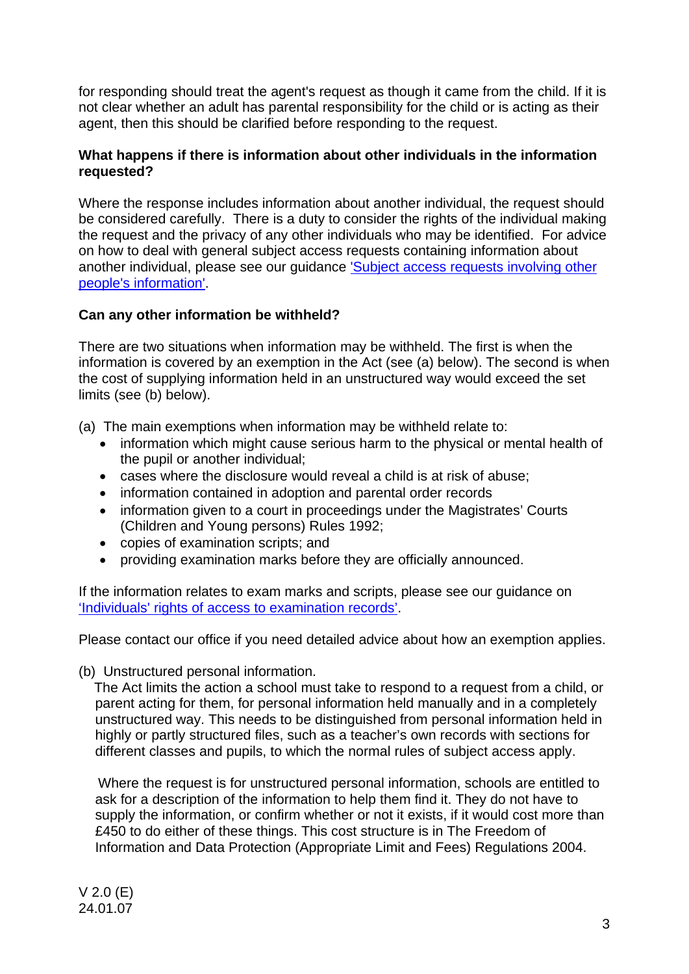for responding should treat the agent's request as though it came from the child. If it is not clear whether an adult has parental responsibility for the child or is acting as their agent, then this should be clarified before responding to the request.

### **What happens if there is information about other individuals in the information requested?**

Where the response includes information about another individual, the request should be considered carefully. There is a duty to consider the rights of the individual making the request and the privacy of any other individuals who may be identified. For advice on how to deal with general subject access requests containing information about [another individual, please see our guidance 'Subject access requests involving other](http://www.ico.gov.uk/upload/documents/library/data_protection/detailed_specialist_guides/dealing_with_subject_access_requests_involving_other_peoples_information.pdf)  people's information'.

### **Can any other information be withheld?**

There are two situations when information may be withheld. The first is when the information is covered by an exemption in the Act (see (a) below). The second is when the cost of supplying information held in an unstructured way would exceed the set limits (see (b) below).

(a) The main exemptions when information may be withheld relate to:

- information which might cause serious harm to the physical or mental health of the pupil or another individual;
- cases where the disclosure would reveal a child is at risk of abuse;
- information contained in adoption and parental order records
- information given to a court in proceedings under the Magistrates' Courts (Children and Young persons) Rules 1992;
- copies of examination scripts; and
- providing examination marks before they are officially announced.

If the information relates to exam marks and scripts, please see our guidance on ['Individuals' rights of access to examination records'.](http://www.ico.gov.uk/~/media/documents/library/Data_Protection/Practical_application/DATA_PROTECTION_GOOD_PRACTICE_NOTE_ACCESS_TO_EXAM_RESULTS.pdf)

Please contact our office if you need detailed advice about how an exemption applies.

(b) Unstructured personal information.

 The Act limits the action a school must take to respond to a request from a child, or parent acting for them, for personal information held manually and in a completely unstructured way. This needs to be distinguished from personal information held in highly or partly structured files, such as a teacher's own records with sections for different classes and pupils, to which the normal rules of subject access apply.

 Where the request is for unstructured personal information, schools are entitled to ask for a description of the information to help them find it. They do not have to supply the information, or confirm whether or not it exists, if it would cost more than £450 to do either of these things. This cost structure is in The Freedom of Information and Data Protection (Appropriate Limit and Fees) Regulations 2004.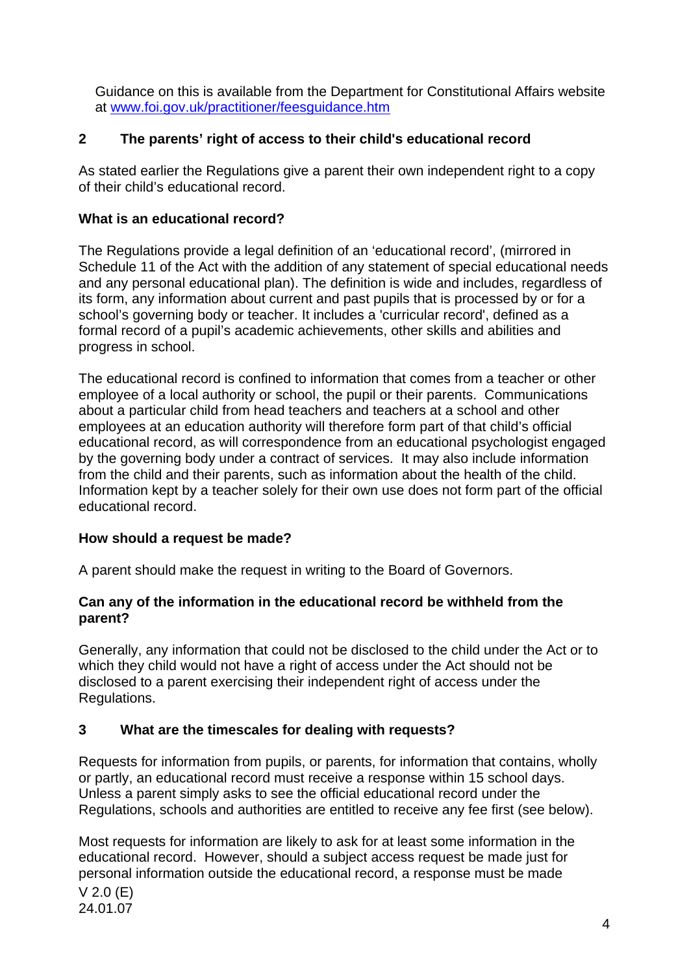Guidance on this is available from the Department for Constitutional Affairs website at www.foi.gov.uk/practitioner/feesguidance.htm

### **2 The parents' right of access to their child's educational record**

As stated earlier the Regulations give a parent their own independent right to a copy of their child's educational record.

### **What is an educational record?**

The Regulations provide a legal definition of an 'educational record', (mirrored in Schedule 11 of the Act with the addition of any statement of special educational needs and any personal educational plan). The definition is wide and includes, regardless of its form, any information about current and past pupils that is processed by or for a school's governing body or teacher. It includes a 'curricular record', defined as a formal record of a pupil's academic achievements, other skills and abilities and progress in school.

The educational record is confined to information that comes from a teacher or other employee of a local authority or school, the pupil or their parents. Communications about a particular child from head teachers and teachers at a school and other employees at an education authority will therefore form part of that child's official educational record, as will correspondence from an educational psychologist engaged by the governing body under a contract of services. It may also include information from the child and their parents, such as information about the health of the child. Information kept by a teacher solely for their own use does not form part of the official educational record.

### **How should a request be made?**

A parent should make the request in writing to the Board of Governors.

### **Can any of the information in the educational record be withheld from the parent?**

Generally, any information that could not be disclosed to the child under the Act or to which they child would not have a right of access under the Act should not be disclosed to a parent exercising their independent right of access under the Regulations.

## **3 What are the timescales for dealing with requests?**

Requests for information from pupils, or parents, for information that contains, wholly or partly, an educational record must receive a response within 15 school days. Unless a parent simply asks to see the official educational record under the Regulations, schools and authorities are entitled to receive any fee first (see below).

V 2.0 (E) 24.01.07 Most requests for information are likely to ask for at least some information in the educational record. However, should a subject access request be made just for personal information outside the educational record, a response must be made